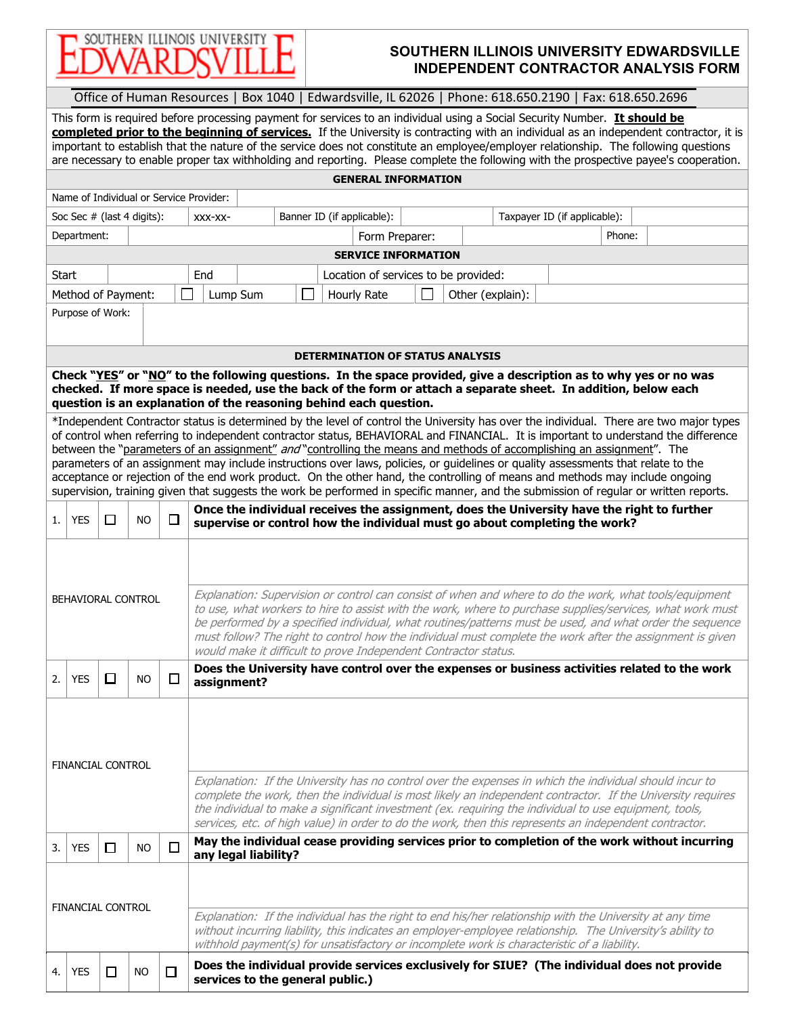

## **SOUTHERN ILLINOIS UNIVERSITY EDWARDSVILLE INDEPENDENT CONTRACTOR ANALYSIS FORM**

|                                                                                                                                                                                                                                                                                                                                                                                                                                                                                                                                                                                                                                                                                                                                                                                                                     | Office of Human Resources   Box 1040   Edwardsville, IL 62026   Phone: 618.650.2190   Fax: 618.650.2696                                                                                                                                                                                                  |        |                              |        |                                                                                                                                                                                                                                                                                                                                                                                                                                                                                                                 |                                                                                                                                                                          |  |  |  |  |                                                                                                                                                                                                         |  |  |  |
|---------------------------------------------------------------------------------------------------------------------------------------------------------------------------------------------------------------------------------------------------------------------------------------------------------------------------------------------------------------------------------------------------------------------------------------------------------------------------------------------------------------------------------------------------------------------------------------------------------------------------------------------------------------------------------------------------------------------------------------------------------------------------------------------------------------------|----------------------------------------------------------------------------------------------------------------------------------------------------------------------------------------------------------------------------------------------------------------------------------------------------------|--------|------------------------------|--------|-----------------------------------------------------------------------------------------------------------------------------------------------------------------------------------------------------------------------------------------------------------------------------------------------------------------------------------------------------------------------------------------------------------------------------------------------------------------------------------------------------------------|--------------------------------------------------------------------------------------------------------------------------------------------------------------------------|--|--|--|--|---------------------------------------------------------------------------------------------------------------------------------------------------------------------------------------------------------|--|--|--|
| This form is required before processing payment for services to an individual using a Social Security Number. It should be<br>completed prior to the beginning of services. If the University is contracting with an individual as an independent contractor, it is<br>important to establish that the nature of the service does not constitute an employee/employer relationship. The following questions<br>are necessary to enable proper tax withholding and reporting. Please complete the following with the prospective payee's cooperation.                                                                                                                                                                                                                                                                |                                                                                                                                                                                                                                                                                                          |        |                              |        |                                                                                                                                                                                                                                                                                                                                                                                                                                                                                                                 |                                                                                                                                                                          |  |  |  |  |                                                                                                                                                                                                         |  |  |  |
| <b>GENERAL INFORMATION</b>                                                                                                                                                                                                                                                                                                                                                                                                                                                                                                                                                                                                                                                                                                                                                                                          |                                                                                                                                                                                                                                                                                                          |        |                              |        |                                                                                                                                                                                                                                                                                                                                                                                                                                                                                                                 |                                                                                                                                                                          |  |  |  |  |                                                                                                                                                                                                         |  |  |  |
| Name of Individual or Service Provider:                                                                                                                                                                                                                                                                                                                                                                                                                                                                                                                                                                                                                                                                                                                                                                             |                                                                                                                                                                                                                                                                                                          |        |                              |        |                                                                                                                                                                                                                                                                                                                                                                                                                                                                                                                 |                                                                                                                                                                          |  |  |  |  |                                                                                                                                                                                                         |  |  |  |
|                                                                                                                                                                                                                                                                                                                                                                                                                                                                                                                                                                                                                                                                                                                                                                                                                     |                                                                                                                                                                                                                                                                                                          |        | Soc Sec $#$ (last 4 digits): |        | Banner ID (if applicable):<br>Taxpayer ID (if applicable):<br>XXX-XX-                                                                                                                                                                                                                                                                                                                                                                                                                                           |                                                                                                                                                                          |  |  |  |  |                                                                                                                                                                                                         |  |  |  |
| Department:<br>Form Preparer:<br>Phone:                                                                                                                                                                                                                                                                                                                                                                                                                                                                                                                                                                                                                                                                                                                                                                             |                                                                                                                                                                                                                                                                                                          |        |                              |        |                                                                                                                                                                                                                                                                                                                                                                                                                                                                                                                 |                                                                                                                                                                          |  |  |  |  |                                                                                                                                                                                                         |  |  |  |
| <b>SERVICE INFORMATION</b>                                                                                                                                                                                                                                                                                                                                                                                                                                                                                                                                                                                                                                                                                                                                                                                          |                                                                                                                                                                                                                                                                                                          |        |                              |        |                                                                                                                                                                                                                                                                                                                                                                                                                                                                                                                 |                                                                                                                                                                          |  |  |  |  |                                                                                                                                                                                                         |  |  |  |
| Start                                                                                                                                                                                                                                                                                                                                                                                                                                                                                                                                                                                                                                                                                                                                                                                                               |                                                                                                                                                                                                                                                                                                          |        |                              |        | End<br>Location of services to be provided:                                                                                                                                                                                                                                                                                                                                                                                                                                                                     |                                                                                                                                                                          |  |  |  |  |                                                                                                                                                                                                         |  |  |  |
| Method of Payment:                                                                                                                                                                                                                                                                                                                                                                                                                                                                                                                                                                                                                                                                                                                                                                                                  |                                                                                                                                                                                                                                                                                                          |        |                              |        | Lump Sum<br>Hourly Rate<br>Other (explain):                                                                                                                                                                                                                                                                                                                                                                                                                                                                     |                                                                                                                                                                          |  |  |  |  |                                                                                                                                                                                                         |  |  |  |
|                                                                                                                                                                                                                                                                                                                                                                                                                                                                                                                                                                                                                                                                                                                                                                                                                     | Purpose of Work:                                                                                                                                                                                                                                                                                         |        |                              |        |                                                                                                                                                                                                                                                                                                                                                                                                                                                                                                                 |                                                                                                                                                                          |  |  |  |  |                                                                                                                                                                                                         |  |  |  |
|                                                                                                                                                                                                                                                                                                                                                                                                                                                                                                                                                                                                                                                                                                                                                                                                                     | <b>DETERMINATION OF STATUS ANALYSIS</b>                                                                                                                                                                                                                                                                  |        |                              |        |                                                                                                                                                                                                                                                                                                                                                                                                                                                                                                                 |                                                                                                                                                                          |  |  |  |  |                                                                                                                                                                                                         |  |  |  |
|                                                                                                                                                                                                                                                                                                                                                                                                                                                                                                                                                                                                                                                                                                                                                                                                                     | Check "YES" or "NO" to the following questions. In the space provided, give a description as to why yes or no was<br>checked. If more space is needed, use the back of the form or attach a separate sheet. In addition, below each<br>question is an explanation of the reasoning behind each question. |        |                              |        |                                                                                                                                                                                                                                                                                                                                                                                                                                                                                                                 |                                                                                                                                                                          |  |  |  |  |                                                                                                                                                                                                         |  |  |  |
| *Independent Contractor status is determined by the level of control the University has over the individual. There are two major types<br>of control when referring to independent contractor status, BEHAVIORAL and FINANCIAL. It is important to understand the difference<br>between the "parameters of an assignment" and "controlling the means and methods of accomplishing an assignment". The<br>parameters of an assignment may include instructions over laws, policies, or guidelines or quality assessments that relate to the<br>acceptance or rejection of the end work product. On the other hand, the controlling of means and methods may include ongoing<br>supervision, training given that suggests the work be performed in specific manner, and the submission of regular or written reports. |                                                                                                                                                                                                                                                                                                          |        |                              |        |                                                                                                                                                                                                                                                                                                                                                                                                                                                                                                                 |                                                                                                                                                                          |  |  |  |  |                                                                                                                                                                                                         |  |  |  |
| 1.                                                                                                                                                                                                                                                                                                                                                                                                                                                                                                                                                                                                                                                                                                                                                                                                                  | <b>YES</b>                                                                                                                                                                                                                                                                                               | $\Box$ | <b>NO</b>                    | □      |                                                                                                                                                                                                                                                                                                                                                                                                                                                                                                                 | Once the individual receives the assignment, does the University have the right to further<br>supervise or control how the individual must go about completing the work? |  |  |  |  |                                                                                                                                                                                                         |  |  |  |
|                                                                                                                                                                                                                                                                                                                                                                                                                                                                                                                                                                                                                                                                                                                                                                                                                     |                                                                                                                                                                                                                                                                                                          |        | BEHAVIORAL CONTROL           |        | Explanation: Supervision or control can consist of when and where to do the work, what tools/equipment<br>to use, what workers to hire to assist with the work, where to purchase supplies/services, what work must<br>be performed by a specified individual, what routines/patterns must be used, and what order the sequence<br>must follow? The right to control how the individual must complete the work after the assignment is given<br>would make it difficult to prove Independent Contractor status. |                                                                                                                                                                          |  |  |  |  |                                                                                                                                                                                                         |  |  |  |
| 2.                                                                                                                                                                                                                                                                                                                                                                                                                                                                                                                                                                                                                                                                                                                                                                                                                  | <b>YES</b>                                                                                                                                                                                                                                                                                               |        | <b>NO</b>                    | ப      |                                                                                                                                                                                                                                                                                                                                                                                                                                                                                                                 | Does the University have control over the expenses or business activities related to the work<br>assignment?                                                             |  |  |  |  |                                                                                                                                                                                                         |  |  |  |
|                                                                                                                                                                                                                                                                                                                                                                                                                                                                                                                                                                                                                                                                                                                                                                                                                     | <b>FINANCIAL CONTROL</b>                                                                                                                                                                                                                                                                                 |        |                              |        | Explanation: If the University has no control over the expenses in which the individual should incur to<br>complete the work, then the individual is most likely an independent contractor. If the University requires<br>the individual to make a significant investment (ex. requiring the individual to use equipment, tools,                                                                                                                                                                                |                                                                                                                                                                          |  |  |  |  |                                                                                                                                                                                                         |  |  |  |
| 3.                                                                                                                                                                                                                                                                                                                                                                                                                                                                                                                                                                                                                                                                                                                                                                                                                  | <b>YES</b>                                                                                                                                                                                                                                                                                               | $\Box$ | <b>NO</b>                    | □      |                                                                                                                                                                                                                                                                                                                                                                                                                                                                                                                 | any legal liability?                                                                                                                                                     |  |  |  |  | services, etc. of high value) in order to do the work, then this represents an independent contractor.<br>May the individual cease providing services prior to completion of the work without incurring |  |  |  |
|                                                                                                                                                                                                                                                                                                                                                                                                                                                                                                                                                                                                                                                                                                                                                                                                                     | <b>FINANCIAL CONTROL</b>                                                                                                                                                                                                                                                                                 |        |                              |        | Explanation: If the individual has the right to end his/her relationship with the University at any time<br>without incurring liability, this indicates an employer-employee relationship. The University's ability to<br>withhold payment(s) for unsatisfactory or incomplete work is characteristic of a liability.                                                                                                                                                                                           |                                                                                                                                                                          |  |  |  |  |                                                                                                                                                                                                         |  |  |  |
| 4.                                                                                                                                                                                                                                                                                                                                                                                                                                                                                                                                                                                                                                                                                                                                                                                                                  | <b>YES</b>                                                                                                                                                                                                                                                                                               | □      | <b>NO</b>                    | $\Box$ | Does the individual provide services exclusively for SIUE? (The individual does not provide<br>services to the general public.)                                                                                                                                                                                                                                                                                                                                                                                 |                                                                                                                                                                          |  |  |  |  |                                                                                                                                                                                                         |  |  |  |